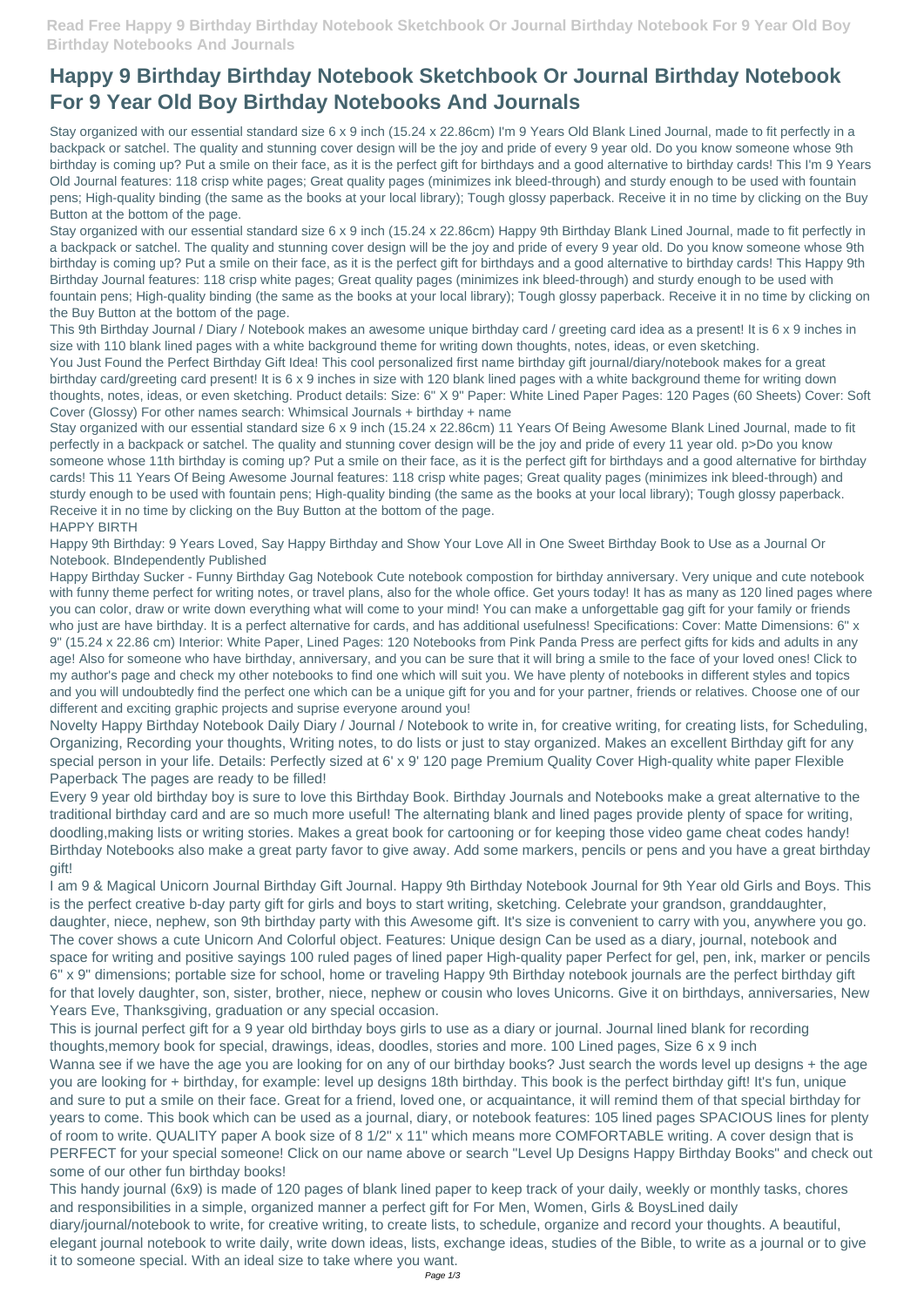## **Happy 9 Birthday Birthday Notebook Sketchbook Or Journal Birthday Notebook For 9 Year Old Boy Birthday Notebooks And Journals**

Stay organized with our essential standard size 6 x 9 inch (15.24 x 22.86cm) I'm 9 Years Old Blank Lined Journal, made to fit perfectly in a backpack or satchel. The quality and stunning cover design will be the joy and pride of every 9 year old. Do you know someone whose 9th birthday is coming up? Put a smile on their face, as it is the perfect gift for birthdays and a good alternative to birthday cards! This I'm 9 Years Old Journal features: 118 crisp white pages; Great quality pages (minimizes ink bleed-through) and sturdy enough to be used with fountain pens; High-quality binding (the same as the books at your local library); Tough glossy paperback. Receive it in no time by clicking on the Buy Button at the bottom of the page.

Stay organized with our essential standard size 6 x 9 inch (15.24 x 22.86cm) Happy 9th Birthday Blank Lined Journal, made to fit perfectly in a backpack or satchel. The quality and stunning cover design will be the joy and pride of every 9 year old. Do you know someone whose 9th birthday is coming up? Put a smile on their face, as it is the perfect gift for birthdays and a good alternative to birthday cards! This Happy 9th Birthday Journal features: 118 crisp white pages; Great quality pages (minimizes ink bleed-through) and sturdy enough to be used with fountain pens; High-quality binding (the same as the books at your local library); Tough glossy paperback. Receive it in no time by clicking on the Buy Button at the bottom of the page.

This 9th Birthday Journal / Diary / Notebook makes an awesome unique birthday card / greeting card idea as a present! It is 6 x 9 inches in size with 110 blank lined pages with a white background theme for writing down thoughts, notes, ideas, or even sketching.

You Just Found the Perfect Birthday Gift Idea! This cool personalized first name birthday gift journal/diary/notebook makes for a great birthday card/greeting card present! It is 6 x 9 inches in size with 120 blank lined pages with a white background theme for writing down thoughts, notes, ideas, or even sketching. Product details: Size: 6" X 9" Paper: White Lined Paper Pages: 120 Pages (60 Sheets) Cover: Soft Cover (Glossy) For other names search: Whimsical Journals + birthday + name

Stay organized with our essential standard size 6 x 9 inch (15.24 x 22.86cm) 11 Years Of Being Awesome Blank Lined Journal, made to fit perfectly in a backpack or satchel. The quality and stunning cover design will be the joy and pride of every 11 year old. p>Do you know someone whose 11th birthday is coming up? Put a smile on their face, as it is the perfect gift for birthdays and a good alternative for birthday cards! This 11 Years Of Being Awesome Journal features: 118 crisp white pages; Great quality pages (minimizes ink bleed-through) and sturdy enough to be used with fountain pens; High-quality binding (the same as the books at your local library); Tough glossy paperback. Receive it in no time by clicking on the Buy Button at the bottom of the page.

## HAPPY BIRTH

Happy 9th Birthday: 9 Years Loved, Say Happy Birthday and Show Your Love All in One Sweet Birthday Book to Use as a Journal Or Notebook. BIndependently Published

Happy Birthday Sucker - Funny Birthday Gag Notebook Cute notebook compostion for birthday anniversary. Very unique and cute notebook with funny theme perfect for writing notes, or travel plans, also for the whole office. Get yours today! It has as many as 120 lined pages where you can color, draw or write down everything what will come to your mind! You can make a unforgettable gag gift for your family or friends who just are have birthday. It is a perfect alternative for cards, and has additional usefulness! Specifications: Cover: Matte Dimensions: 6" x 9" (15.24 x 22.86 cm) Interior: White Paper, Lined Pages: 120 Notebooks from Pink Panda Press are perfect gifts for kids and adults in any age! Also for someone who have birthday, anniversary, and you can be sure that it will bring a smile to the face of your loved ones! Click to my author's page and check my other notebooks to find one which will suit you. We have plenty of notebooks in different styles and topics and you will undoubtedly find the perfect one which can be a unique gift for you and for your partner, friends or relatives. Choose one of our different and exciting graphic projects and suprise everyone around you!

Novelty Happy Birthday Notebook Daily Diary / Journal / Notebook to write in, for creative writing, for creating lists, for Scheduling, Organizing, Recording your thoughts, Writing notes, to do lists or just to stay organized. Makes an excellent Birthday gift for any special person in your life. Details: Perfectly sized at 6' x 9' 120 page Premium Quality Cover High-quality white paper Flexible Paperback The pages are ready to be filled!

Every 9 year old birthday boy is sure to love this Birthday Book. Birthday Journals and Notebooks make a great alternative to the traditional birthday card and are so much more useful! The alternating blank and lined pages provide plenty of space for writing, doodling,making lists or writing stories. Makes a great book for cartooning or for keeping those video game cheat codes handy! Birthday Notebooks also make a great party favor to give away. Add some markers, pencils or pens and you have a great birthday gift!

I am 9 & Magical Unicorn Journal Birthday Gift Journal. Happy 9th Birthday Notebook Journal for 9th Year old Girls and Boys. This is the perfect creative b-day party gift for girls and boys to start writing, sketching. Celebrate your grandson, granddaughter, daughter, niece, nephew, son 9th birthday party with this Awesome gift. It's size is convenient to carry with you, anywhere you go. The cover shows a cute Unicorn And Colorful object. Features: Unique design Can be used as a diary, journal, notebook and space for writing and positive sayings 100 ruled pages of lined paper High-quality paper Perfect for gel, pen, ink, marker or pencils 6" x 9" dimensions; portable size for school, home or traveling Happy 9th Birthday notebook journals are the perfect birthday gift

for that lovely daughter, son, sister, brother, niece, nephew or cousin who loves Unicorns. Give it on birthdays, anniversaries, New Years Eve, Thanksgiving, graduation or any special occasion.

This is journal perfect gift for a 9 year old birthday boys girls to use as a diary or journal. Journal lined blank for recording thoughts,memory book for special, drawings, ideas, doodles, stories and more. 100 Lined pages, Size 6 x 9 inch Wanna see if we have the age you are looking for on any of our birthday books? Just search the words level up designs + the age you are looking for + birthday, for example: level up designs 18th birthday. This book is the perfect birthday gift! It's fun, unique and sure to put a smile on their face. Great for a friend, loved one, or acquaintance, it will remind them of that special birthday for years to come. This book which can be used as a journal, diary, or notebook features: 105 lined pages SPACIOUS lines for plenty of room to write. QUALITY paper A book size of 8 1/2" x 11" which means more COMFORTABLE writing. A cover design that is PERFECT for your special someone! Click on our name above or search "Level Up Designs Happy Birthday Books" and check out some of our other fun birthday books!

This handy journal (6x9) is made of 120 pages of blank lined paper to keep track of your daily, weekly or monthly tasks, chores and responsibilities in a simple, organized manner a perfect gift for For Men, Women, Girls & BoysLined daily diary/journal/notebook to write, for creative writing, to create lists, to schedule, organize and record your thoughts. A beautiful, elegant journal notebook to write daily, write down ideas, lists, exchange ideas, studies of the Bible, to write as a journal or to give it to someone special. With an ideal size to take where you want.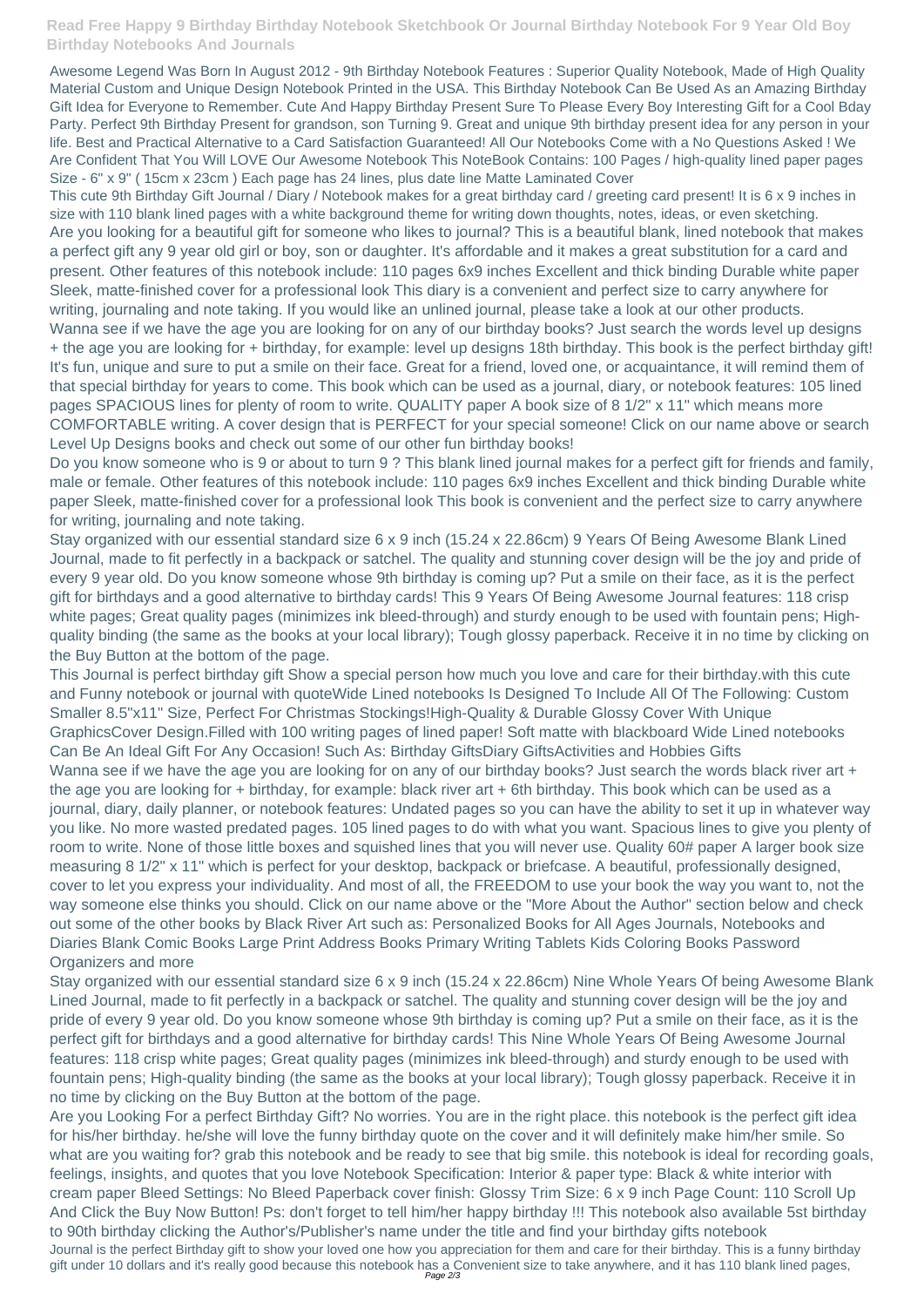## **Read Free Happy 9 Birthday Birthday Notebook Sketchbook Or Journal Birthday Notebook For 9 Year Old Boy Birthday Notebooks And Journals**

Awesome Legend Was Born In August 2012 - 9th Birthday Notebook Features : Superior Quality Notebook, Made of High Quality Material Custom and Unique Design Notebook Printed in the USA. This Birthday Notebook Can Be Used As an Amazing Birthday Gift Idea for Everyone to Remember. Cute And Happy Birthday Present Sure To Please Every Boy Interesting Gift for a Cool Bday Party. Perfect 9th Birthday Present for grandson, son Turning 9. Great and unique 9th birthday present idea for any person in your life. Best and Practical Alternative to a Card Satisfaction Guaranteed! All Our Notebooks Come with a No Questions Asked ! We Are Confident That You Will LOVE Our Awesome Notebook This NoteBook Contains: 100 Pages / high-quality lined paper pages Size - 6" x 9" ( 15cm x 23cm ) Each page has 24 lines, plus date line Matte Laminated Cover

This cute 9th Birthday Gift Journal / Diary / Notebook makes for a great birthday card / greeting card present! It is 6 x 9 inches in size with 110 blank lined pages with a white background theme for writing down thoughts, notes, ideas, or even sketching. Are you looking for a beautiful gift for someone who likes to journal? This is a beautiful blank, lined notebook that makes a perfect gift any 9 year old girl or boy, son or daughter. It's affordable and it makes a great substitution for a card and present. Other features of this notebook include: 110 pages 6x9 inches Excellent and thick binding Durable white paper Sleek, matte-finished cover for a professional look This diary is a convenient and perfect size to carry anywhere for writing, journaling and note taking. If you would like an unlined journal, please take a look at our other products. Wanna see if we have the age you are looking for on any of our birthday books? Just search the words level up designs + the age you are looking for + birthday, for example: level up designs 18th birthday. This book is the perfect birthday gift! It's fun, unique and sure to put a smile on their face. Great for a friend, loved one, or acquaintance, it will remind them of that special birthday for years to come. This book which can be used as a journal, diary, or notebook features: 105 lined pages SPACIOUS lines for plenty of room to write. QUALITY paper A book size of 8 1/2" x 11" which means more COMFORTABLE writing. A cover design that is PERFECT for your special someone! Click on our name above or search Level Up Designs books and check out some of our other fun birthday books!

Do you know someone who is 9 or about to turn 9 ? This blank lined journal makes for a perfect gift for friends and family, male or female. Other features of this notebook include: 110 pages 6x9 inches Excellent and thick binding Durable white paper Sleek, matte-finished cover for a professional look This book is convenient and the perfect size to carry anywhere for writing, journaling and note taking.

Stay organized with our essential standard size 6 x 9 inch (15.24 x 22.86cm) 9 Years Of Being Awesome Blank Lined Journal, made to fit perfectly in a backpack or satchel. The quality and stunning cover design will be the joy and pride of every 9 year old. Do you know someone whose 9th birthday is coming up? Put a smile on their face, as it is the perfect gift for birthdays and a good alternative to birthday cards! This 9 Years Of Being Awesome Journal features: 118 crisp white pages; Great quality pages (minimizes ink bleed-through) and sturdy enough to be used with fountain pens; Highquality binding (the same as the books at your local library); Tough glossy paperback. Receive it in no time by clicking on the Buy Button at the bottom of the page.

This Journal is perfect birthday gift Show a special person how much you love and care for their birthday.with this cute and Funny notebook or journal with quoteWide Lined notebooks Is Designed To Include All Of The Following: Custom Smaller 8.5"x11" Size, Perfect For Christmas Stockings!High-Quality & Durable Glossy Cover With Unique GraphicsCover Design.Filled with 100 writing pages of lined paper! Soft matte with blackboard Wide Lined notebooks Can Be An Ideal Gift For Any Occasion! Such As: Birthday GiftsDiary GiftsActivities and Hobbies Gifts Wanna see if we have the age you are looking for on any of our birthday books? Just search the words black river art + the age you are looking for + birthday, for example: black river art + 6th birthday. This book which can be used as a journal, diary, daily planner, or notebook features: Undated pages so you can have the ability to set it up in whatever way you like. No more wasted predated pages. 105 lined pages to do with what you want. Spacious lines to give you plenty of room to write. None of those little boxes and squished lines that you will never use. Quality 60# paper A larger book size measuring 8 1/2" x 11" which is perfect for your desktop, backpack or briefcase. A beautiful, professionally designed, cover to let you express your individuality. And most of all, the FREEDOM to use your book the way you want to, not the way someone else thinks you should. Click on our name above or the "More About the Author" section below and check out some of the other books by Black River Art such as: Personalized Books for All Ages Journals, Notebooks and Diaries Blank Comic Books Large Print Address Books Primary Writing Tablets Kids Coloring Books Password Organizers and more

Stay organized with our essential standard size 6 x 9 inch (15.24 x 22.86cm) Nine Whole Years Of being Awesome Blank

Lined Journal, made to fit perfectly in a backpack or satchel. The quality and stunning cover design will be the joy and pride of every 9 year old. Do you know someone whose 9th birthday is coming up? Put a smile on their face, as it is the perfect gift for birthdays and a good alternative for birthday cards! This Nine Whole Years Of Being Awesome Journal features: 118 crisp white pages; Great quality pages (minimizes ink bleed-through) and sturdy enough to be used with fountain pens; High-quality binding (the same as the books at your local library); Tough glossy paperback. Receive it in no time by clicking on the Buy Button at the bottom of the page.

Are you Looking For a perfect Birthday Gift? No worries. You are in the right place. this notebook is the perfect gift idea for his/her birthday. he/she will love the funny birthday quote on the cover and it will definitely make him/her smile. So what are you waiting for? grab this notebook and be ready to see that big smile. this notebook is ideal for recording goals, feelings, insights, and quotes that you love Notebook Specification: Interior & paper type: Black & white interior with cream paper Bleed Settings: No Bleed Paperback cover finish: Glossy Trim Size: 6 x 9 inch Page Count: 110 Scroll Up And Click the Buy Now Button! Ps: don't forget to tell him/her happy birthday !!! This notebook also available 5st birthday to 90th birthday clicking the Author's/Publisher's name under the title and find your birthday gifts notebook Journal is the perfect Birthday gift to show your loved one how you appreciation for them and care for their birthday. This is a funny birthday gift under 10 dollars and it's really good because this notebook has a Convenient size to take anywhere, and it has 110 blank lined pages, Page 2/3